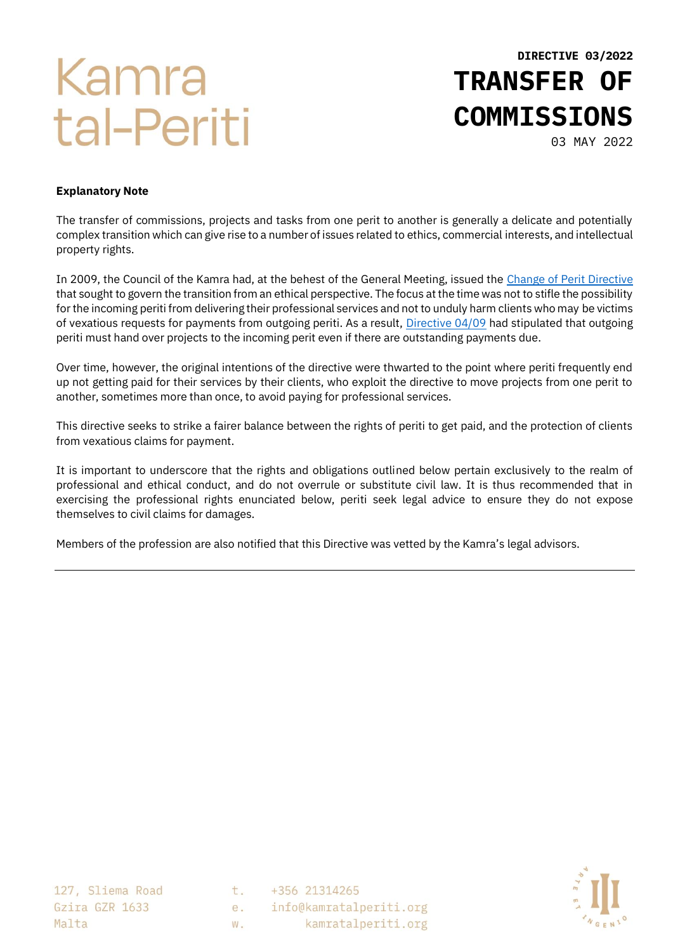# Kamra tal-Periti

**DIRECTIVE 03/2022 TRANSFER OF COMMISSIONS**

03 MAY 2022

#### **Explanatory Note**

The transfer of commissions, projects and tasks from one perit to another is generally a delicate and potentially complex transition which can give rise to a number of issues related to ethics, commercial interests, and intellectual property rights.

In 2009, the Council of the Kamra had, at the behest of the General Meeting, issued the [Change of Perit Directive](https://kamratalperiti.org/dir-04-09-procedure-for-change-of-architect-and-or-withdrawal-from-a-commission/) that sought to govern the transition from an ethical perspective. The focus at the time was not to stifle the possibility for the incoming periti from delivering their professional services and not to unduly harm clients who may be victims of vexatious requests for payments from outgoing periti. As a result, [Directive 04/09](https://kamratalperiti.us16.list-manage.com/track/click?u=5bc7e5e7ee469c24a8ec71546&id=34f2aabb87&e=c043b314ed) had stipulated that outgoing periti must hand over projects to the incoming perit even if there are outstanding payments due.

Over time, however, the original intentions of the directive were thwarted to the point where periti frequently end up not getting paid for their services by their clients, who exploit the directive to move projects from one perit to another, sometimes more than once, to avoid paying for professional services.

This directive seeks to strike a fairer balance between the rights of periti to get paid, and the protection of clients from vexatious claims for payment.

It is important to underscore that the rights and obligations outlined below pertain exclusively to the realm of professional and ethical conduct, and do not overrule or substitute civil law. It is thus recommended that in exercising the professional rights enunciated below, periti seek legal advice to ensure they do not expose themselves to civil claims for damages.

Members of the profession are also notified that this Directive was vetted by the Kamra's legal advisors.

127, Sliema Road Gzira GZR 1633 Malta

t. +356 21314265  $e_{\cdot}$ info@kamratalperiti.org kamratalperiti.org  $W_{-}$ 

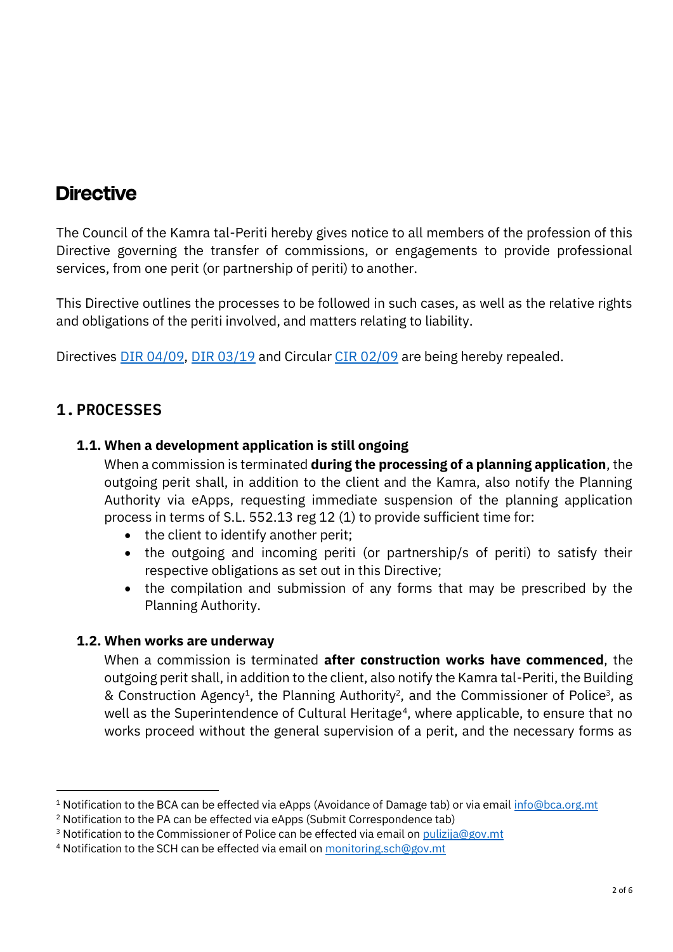## **Directive**

The Council of the Kamra tal-Periti hereby gives notice to all members of the profession of this Directive governing the transfer of commissions, or engagements to provide professional services, from one perit (or partnership of periti) to another.

This Directive outlines the processes to be followed in such cases, as well as the relative rights and obligations of the periti involved, and matters relating to liability.

Directives [DIR 04/09,](https://kamratalperiti.org/dir-04-09-procedure-for-change-of-architect-and-or-withdrawal-from-a-commission/) [DIR 03/19](https://kamratalperiti.org/dir-03-19-change-of-perit-in-cases-of-public-safety/) and Circular [CIR 02/09](https://kamratalperiti.org/cir-0209-procedure-for-when-a-perit-discontinues-a-commission-andor-when-another-perit-is-engaged-to-take-over/) are being hereby repealed.

## **1.PROCESSES**

#### **1.1. When a development application is still ongoing**

When a commission is terminated **during the processing of a planning application**, the outgoing perit shall, in addition to the client and the Kamra, also notify the Planning Authority via eApps, requesting immediate suspension of the planning application process in terms of S.L. 552.13 reg 12 (1) to provide sufficient time for:

- the client to identify another perit;
- the outgoing and incoming periti (or partnership/s of periti) to satisfy their respective obligations as set out in this Directive;
- the compilation and submission of any forms that may be prescribed by the Planning Authority.

#### **1.2. When works are underway**

When a commission is terminated **after construction works have commenced**, the outgoing perit shall, in addition to the client, also notify the Kamra tal-Periti, the Building & Construction Agency<sup>1</sup>, the Planning Authority<sup>2</sup>, and the Commissioner of Police<sup>3</sup>, as well as the Superintendence of Cultural Heritage<sup>4</sup>, where applicable, to ensure that no works proceed without the general supervision of a perit, and the necessary forms as

<sup>1</sup> Notification to the BCA can be effected via eApps (Avoidance of Damage tab) or via email [info@bca.org.mt](mailto:info@bca.org.mt)

<sup>&</sup>lt;sup>2</sup> Notification to the PA can be effected via eApps (Submit Correspondence tab)

 $3$  Notification to the Commissioner of Police can be effected via email on [pulizija@gov.mt](mailto:pulizija@gov.mt)

<sup>4</sup> Notification to the SCH can be effected via email o[n monitoring.sch@gov.mt](mailto:monitoring.sch@gov.mt)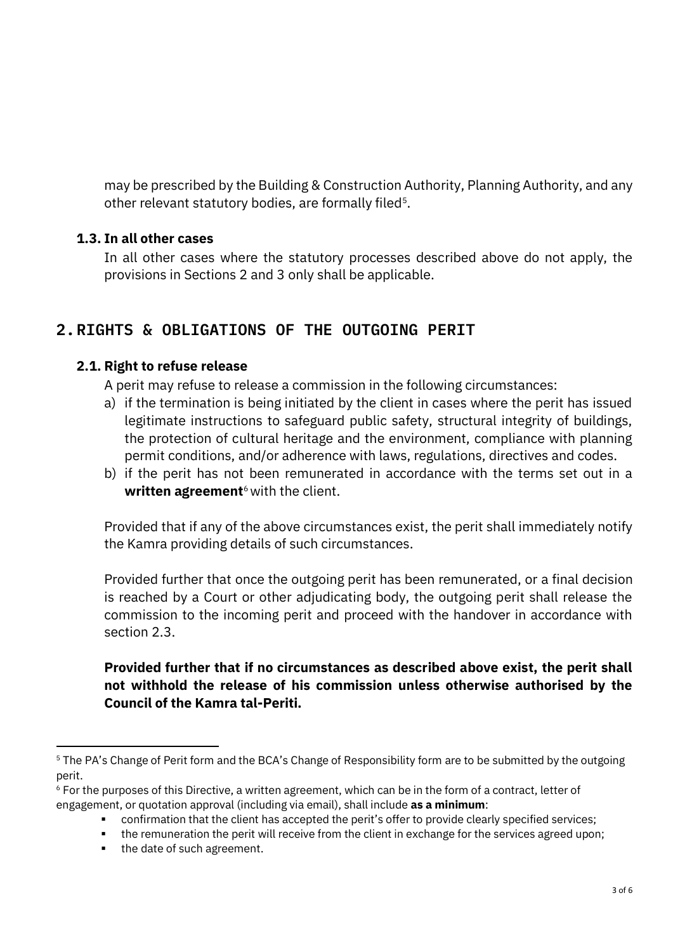may be prescribed by the Building & Construction Authority, Planning Authority, and any other relevant statutory bodies, are formally filed<sup>5</sup>.

#### **1.3. In all other cases**

In all other cases where the statutory processes described above do not apply, the provisions in Sections 2 and 3 only shall be applicable.

## **2.RIGHTS & OBLIGATIONS OF THE OUTGOING PERIT**

#### **2.1. Right to refuse release**

A perit may refuse to release a commission in the following circumstances:

- a) if the termination is being initiated by the client in cases where the perit has issued legitimate instructions to safeguard public safety, structural integrity of buildings, the protection of cultural heritage and the environment, compliance with planning permit conditions, and/or adherence with laws, regulations, directives and codes.
- b) if the perit has not been remunerated in accordance with the terms set out in a **written agreement**<sup>6</sup> with the client.

Provided that if any of the above circumstances exist, the perit shall immediately notify the Kamra providing details of such circumstances.

Provided further that once the outgoing perit has been remunerated, or a final decision is reached by a Court or other adjudicating body, the outgoing perit shall release the commission to the incoming perit and proceed with the handover in accordance with section 2.3.

#### **Provided further that if no circumstances as described above exist, the perit shall not withhold the release of his commission unless otherwise authorised by the Council of the Kamra tal-Periti.**

■ the date of such agreement.

<sup>&</sup>lt;sup>5</sup> The PA's Change of Perit form and the BCA's Change of Responsibility form are to be submitted by the outgoing perit.

 $6$  For the purposes of this Directive, a written agreement, which can be in the form of a contract, letter of engagement, or quotation approval (including via email), shall include **as a minimum**:

**<sup>•</sup>** confirmation that the client has accepted the perit's offer to provide clearly specified services;

<sup>•</sup> the remuneration the perit will receive from the client in exchange for the services agreed upon;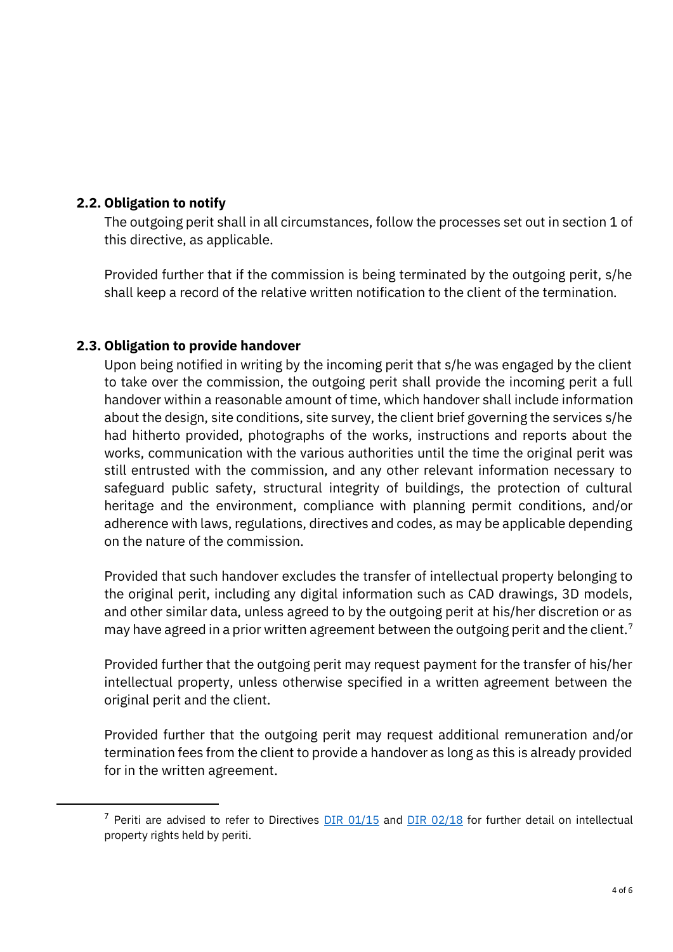#### **2.2. Obligation to notify**

The outgoing perit shall in all circumstances, follow the processes set out in section 1 of this directive, as applicable.

Provided further that if the commission is being terminated by the outgoing perit, s/he shall keep a record of the relative written notification to the client of the termination.

#### **2.3. Obligation to provide handover**

Upon being notified in writing by the incoming perit that s/he was engaged by the client to take over the commission, the outgoing perit shall provide the incoming perit a full handover within a reasonable amount of time, which handover shall include information about the design, site conditions, site survey, the client brief governing the services s/he had hitherto provided, photographs of the works, instructions and reports about the works, communication with the various authorities until the time the original perit was still entrusted with the commission, and any other relevant information necessary to safeguard public safety, structural integrity of buildings, the protection of cultural heritage and the environment, compliance with planning permit conditions, and/or adherence with laws, regulations, directives and codes, as may be applicable depending on the nature of the commission.

Provided that such handover excludes the transfer of intellectual property belonging to the original perit, including any digital information such as CAD drawings, 3D models, and other similar data, unless agreed to by the outgoing perit at his/her discretion or as may have agreed in a prior written agreement between the outgoing perit and the client.<sup>7</sup>

Provided further that the outgoing perit may request payment for the transfer of his/her intellectual property, unless otherwise specified in a written agreement between the original perit and the client.

Provided further that the outgoing perit may request additional remuneration and/or termination fees from the client to provide a handover as long as this is already provided for in the written agreement.

<sup>&</sup>lt;sup>7</sup> Periti are advised to refer to Directives  $\underline{\text{DIR 01/15}}$  and  $\underline{\text{DIR 02/18}}$  for further detail on intellectual property rights held by periti.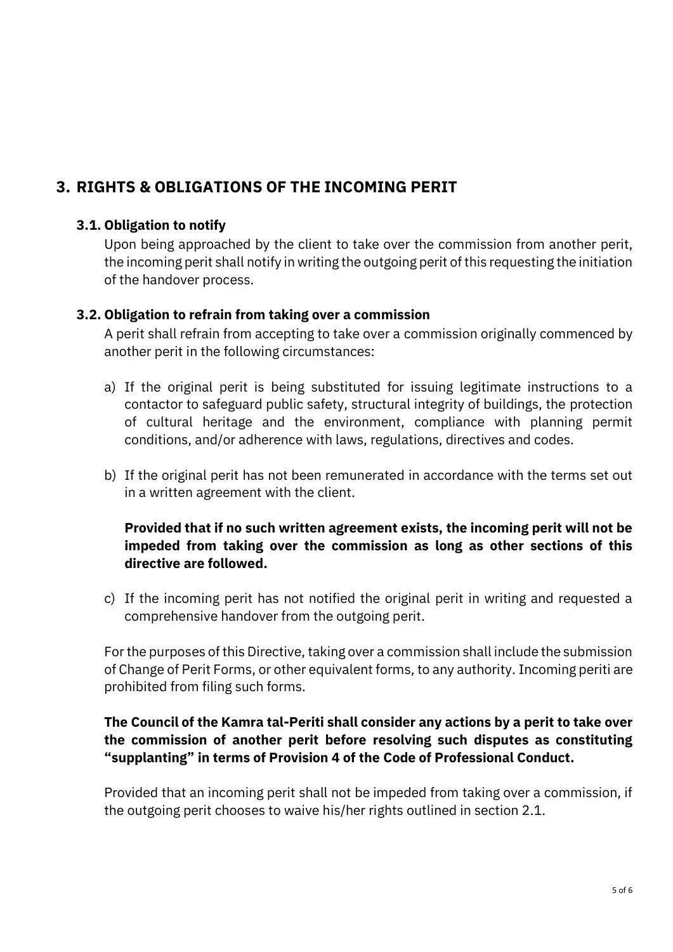## **3. RIGHTS & OBLIGATIONS OF THE INCOMING PERIT**

#### **3.1. Obligation to notify**

Upon being approached by the client to take over the commission from another perit, the incoming perit shall notify in writing the outgoing perit of this requesting the initiation of the handover process.

#### **3.2. Obligation to refrain from taking over a commission**

A perit shall refrain from accepting to take over a commission originally commenced by another perit in the following circumstances:

- a) If the original perit is being substituted for issuing legitimate instructions to a contactor to safeguard public safety, structural integrity of buildings, the protection of cultural heritage and the environment, compliance with planning permit conditions, and/or adherence with laws, regulations, directives and codes.
- b) If the original perit has not been remunerated in accordance with the terms set out in a written agreement with the client.

#### **Provided that if no such written agreement exists, the incoming perit will not be impeded from taking over the commission as long as other sections of this directive are followed.**

c) If the incoming perit has not notified the original perit in writing and requested a comprehensive handover from the outgoing perit.

For the purposes of this Directive, taking over a commission shall include the submission of Change of Perit Forms, or other equivalent forms, to any authority. Incoming periti are prohibited from filing such forms.

#### **The Council of the Kamra tal-Periti shall consider any actions by a perit to take over the commission of another perit before resolving such disputes as constituting "supplanting" in terms of Provision 4 of the [Code of Professional Conduct.](https://kamratalperiti.org/profession/code-of-professional-conduct/)**

Provided that an incoming perit shall not be impeded from taking over a commission, if the outgoing perit chooses to waive his/her rights outlined in section 2.1.